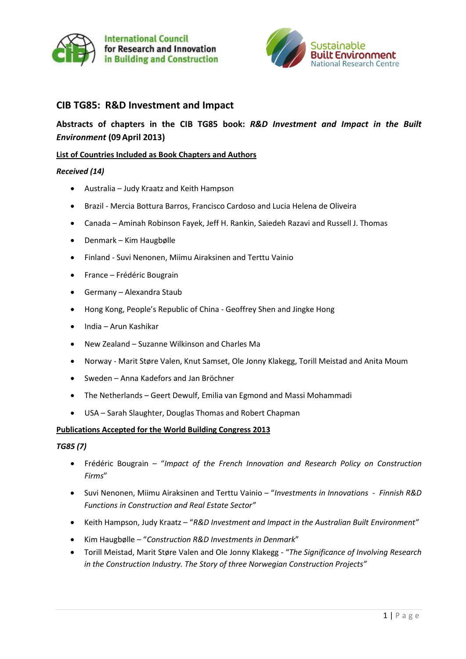



# **CIB TG85: R&D Investment and Impact**

# **Abstracts of chapters in the CIB TG85 book:** *R&D Investment and Impact in the Built Environment* **(09April 2013)**

### **List of Countries Included as Book Chapters and Authors**

#### *Received (14)*

- Australia Judy Kraatz and Keith Hampson
- Brazil Mercia Bottura Barros, Francisco Cardoso and [Lucia Helena de Oliveira](https://outlook.qut.edu.au/OWA/?ae=Item&t=IPM.Note&a=New&to=lucia.oliveira%40poli.usp.br&nm=)
- Canada Aminah Robinson Fayek, Jeff H. Rankin, Saiedeh Razavi and Russell J. Thomas
- Denmark Kim Haugbølle
- Finland Suvi Nenonen, Miimu Airaksinen and Terttu Vainio
- France Frédéric Bougrain
- Germany Alexandra Staub
- Hong Kong, People's Republic of China Geoffrey Shen and Jingke Hong
- India Arun Kashikar
- New Zealand Suzanne Wilkinson and Charles Ma
- Norway Marit Støre Valen, Knut Samset, Ole Jonny Klakegg, Torill Meistad and Anita Moum
- Sweden Anna Kadefors and Jan Bröchner
- The Netherlands Geert Dewulf, Emilia van Egmond and Massi Mohammadi
- USA Sarah Slaughter, Douglas Thomas and Robert Chapman

#### **Publications Accepted for the World Building Congress 2013**

#### *TG85 (7)*

- Frédéric Bougrain "*Impact of the French Innovation and Research Policy on Construction Firms*"
- Suvi Nenonen, Miimu Airaksinen and Terttu Vainio "*Investments in Innovations - Finnish R&D Functions in Construction and Real Estate Sector"*
- Keith Hampson, Judy Kraatz "*R&D Investment and Impact in the Australian Built Environment"*
- Kim Haugbølle "*Construction R&D Investments in Denmark*"
- Torill Meistad, Marit Støre Valen and Ole Jonny Klakegg "*The Significance of Involving Research in the Construction Industry. The Story of three Norwegian Construction Projects"*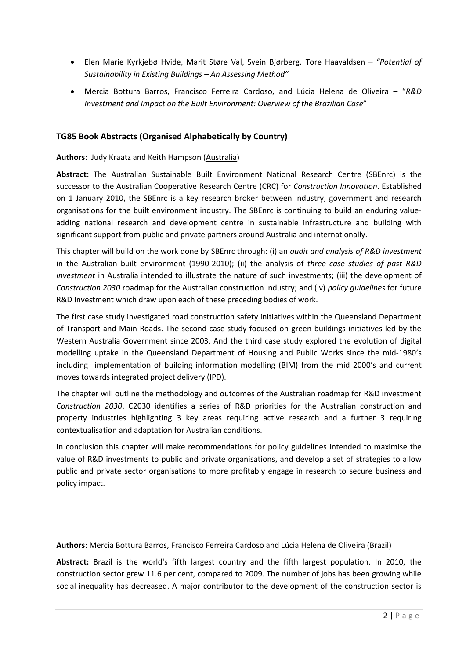- Elen Marie Kyrkjebø Hvide, Marit Støre Val, Svein Bjørberg, Tore Haavaldsen *– "Potential of Sustainability in Existing Buildings – An Assessing Method"*
- Mercia Bottura Barros, Francisco Ferreira Cardoso, and Lúcia Helena de Oliveira "*R&D Investment and Impact on the Built Environment: Overview of the Brazilian Case*"

## **TG85 Book Abstracts (Organised Alphabetically by Country)**

#### **Authors:** Judy Kraatz and Keith Hampson (Australia)

**Abstract:** The Australian Sustainable Built Environment National Research Centre (SBEnrc) is the successor to the Australian Cooperative Research Centre (CRC) for *Construction Innovation*. Established on 1 January 2010, the SBEnrc is a key research broker between industry, government and research organisations for the built environment industry. The SBEnrc is continuing to build an enduring valueadding national research and development centre in sustainable infrastructure and building with significant support from public and private partners around Australia and internationally.

This chapter will build on the work done by SBEnrc through: (i) an *audit and analysis of R&D investment* in the Australian built environment (1990-2010); (ii) the analysis of *three case studies of past R&D investment* in Australia intended to illustrate the nature of such investments; (iii) the development of *Construction 2030* roadmap for the Australian construction industry; and (iv) *policy guidelines* for future R&D Investment which draw upon each of these preceding bodies of work.

The first case study investigated road construction safety initiatives within the Queensland Department of Transport and Main Roads. The second case study focused on green buildings initiatives led by the Western Australia Government since 2003. And the third case study explored the evolution of digital modelling uptake in the Queensland Department of Housing and Public Works since the mid-1980's including implementation of building information modelling (BIM) from the mid 2000's and current moves towards integrated project delivery (IPD).

The chapter will outline the methodology and outcomes of the Australian roadmap for R&D investment *Construction 2030*. C2030 identifies a series of R&D priorities for the Australian construction and property industries highlighting 3 key areas requiring active research and a further 3 requiring contextualisation and adaptation for Australian conditions.

In conclusion this chapter will make recommendations for policy guidelines intended to maximise the value of R&D investments to public and private organisations, and develop a set of strategies to allow public and private sector organisations to more profitably engage in research to secure business and policy impact.

**Authors:** Mercia Bottura Barros, Francisco Ferreira Cardoso and Lúcia Helena de Oliveira (Brazil)

**Abstract:** Brazil is the world's fifth largest country and the fifth largest population. In 2010, the construction sector grew 11.6 per cent, compared to 2009. The number of jobs has been growing while social inequality has decreased. A major contributor to the development of the construction sector is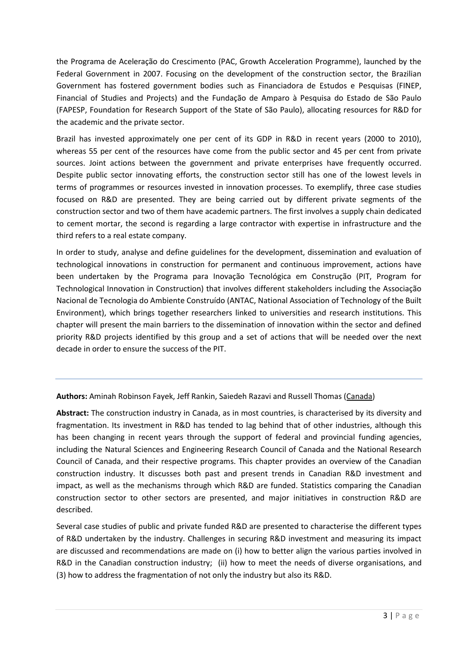the Programa de Aceleração do Crescimento (PAC, Growth Acceleration Programme), launched by the Federal Government in 2007. Focusing on the development of the construction sector, the Brazilian Government has fostered government bodies such as Financiadora de Estudos e Pesquisas (FINEP, Financial of Studies and Projects) and the Fundação de Amparo à Pesquisa do Estado de São Paulo (FAPESP, Foundation for Research Support of the State of São Paulo), allocating resources for R&D for the academic and the private sector.

Brazil has invested approximately one per cent of its GDP in R&D in recent years (2000 to 2010), whereas 55 per cent of the resources have come from the public sector and 45 per cent from private sources. Joint actions between the government and private enterprises have frequently occurred. Despite public sector innovating efforts, the construction sector still has one of the lowest levels in terms of programmes or resources invested in innovation processes. To exemplify, three case studies focused on R&D are presented. They are being carried out by different private segments of the construction sector and two of them have academic partners. The first involves a supply chain dedicated to cement mortar, the second is regarding a large contractor with expertise in infrastructure and the third refers to a real estate company.

In order to study, analyse and define guidelines for the development, dissemination and evaluation of technological innovations in construction for permanent and continuous improvement, actions have been undertaken by the Programa para Inovação Tecnológica em Construção (PIT, Program for Technological Innovation in Construction) that involves different stakeholders including the Associação Nacional de Tecnologia do Ambiente Construído (ANTAC, National Association of Technology of the Built Environment), which brings together researchers linked to universities and research institutions. This chapter will present the main barriers to the dissemination of innovation within the sector and defined priority R&D projects identified by this group and a set of actions that will be needed over the next decade in order to ensure the success of the PIT.

**Authors:** Aminah Robinson Fayek, Jeff Rankin, Saiedeh Razavi and Russell Thomas (Canada)

**Abstract:** The construction industry in Canada, as in most countries, is characterised by its diversity and fragmentation. Its investment in R&D has tended to lag behind that of other industries, although this has been changing in recent years through the support of federal and provincial funding agencies, including the Natural Sciences and Engineering Research Council of Canada and the National Research Council of Canada, and their respective programs. This chapter provides an overview of the Canadian construction industry. It discusses both past and present trends in Canadian R&D investment and impact, as well as the mechanisms through which R&D are funded. Statistics comparing the Canadian construction sector to other sectors are presented, and major initiatives in construction R&D are described.

Several case studies of public and private funded R&D are presented to characterise the different types of R&D undertaken by the industry. Challenges in securing R&D investment and measuring its impact are discussed and recommendations are made on (i) how to better align the various parties involved in R&D in the Canadian construction industry; (ii) how to meet the needs of diverse organisations, and (3) how to address the fragmentation of not only the industry but also its R&D.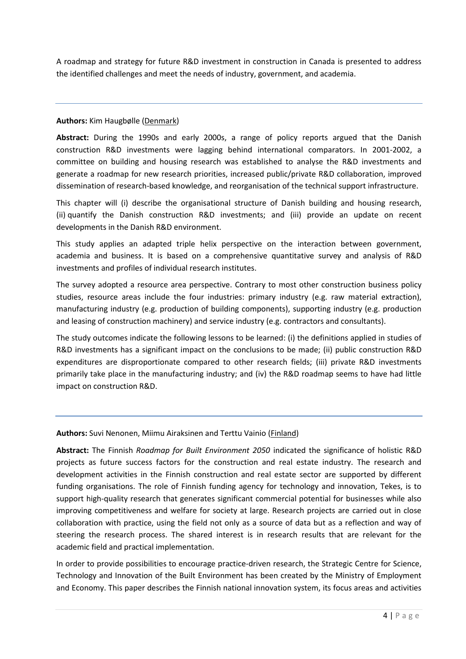A roadmap and strategy for future R&D investment in construction in Canada is presented to address the identified challenges and meet the needs of industry, government, and academia.

#### **Authors:** Kim Haugbølle (Denmark)

**Abstract:** During the 1990s and early 2000s, a range of policy reports argued that the Danish construction R&D investments were lagging behind international comparators. In 2001-2002, a committee on building and housing research was established to analyse the R&D investments and generate a roadmap for new research priorities, increased public/private R&D collaboration, improved dissemination of research-based knowledge, and reorganisation of the technical support infrastructure.

This chapter will (i) describe the organisational structure of Danish building and housing research, (ii) quantify the Danish construction R&D investments; and (iii) provide an update on recent developments in the Danish R&D environment.

This study applies an adapted triple helix perspective on the interaction between government, academia and business. It is based on a comprehensive quantitative survey and analysis of R&D investments and profiles of individual research institutes.

The survey adopted a resource area perspective. Contrary to most other construction business policy studies, resource areas include the four industries: primary industry (e.g. raw material extraction), manufacturing industry (e.g. production of building components), supporting industry (e.g. production and leasing of construction machinery) and service industry (e.g. contractors and consultants).

The study outcomes indicate the following lessons to be learned: (i) the definitions applied in studies of R&D investments has a significant impact on the conclusions to be made; (ii) public construction R&D expenditures are disproportionate compared to other research fields; (iii) private R&D investments primarily take place in the manufacturing industry; and (iv) the R&D roadmap seems to have had little impact on construction R&D.

# **Authors:** Suvi Nenonen, Miimu Airaksinen and Terttu Vainio (Finland)

**Abstract:** The Finnish *Roadmap for Built Environment 2050* indicated the significance of holistic R&D projects as future success factors for the construction and real estate industry. The research and development activities in the Finnish construction and real estate sector are supported by different funding organisations. The role of Finnish funding agency for technology and innovation, Tekes, is to support high-quality research that generates significant commercial potential for businesses while also improving competitiveness and welfare for society at large. Research projects are carried out in close collaboration with practice, using the field not only as a source of data but as a reflection and way of steering the research process. The shared interest is in research results that are relevant for the academic field and practical implementation.

In order to provide possibilities to encourage practice-driven research, the Strategic Centre for Science, Technology and Innovation of the Built Environment has been created by the Ministry of Employment and Economy. This paper describes the Finnish national innovation system, its focus areas and activities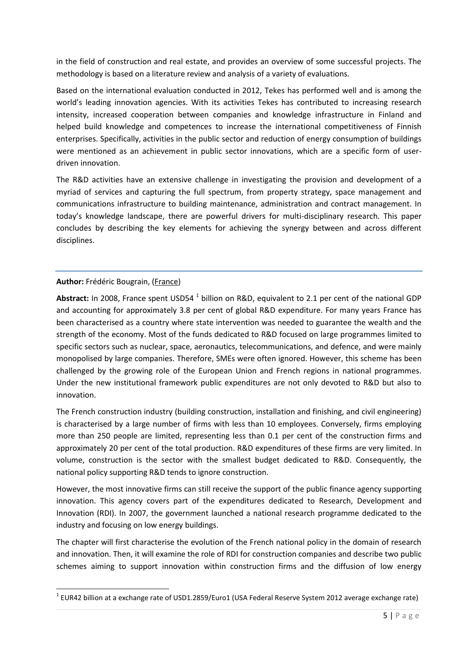in the field of construction and real estate, and provides an overview of some successful projects. The methodology is based on a literature review and analysis of a variety of evaluations.

Based on the international evaluation conducted in 2012, Tekes has performed well and is among the world's leading innovation agencies. With its activities Tekes has contributed to increasing research intensity, increased cooperation between companies and knowledge infrastructure in Finland and helped build knowledge and competences to increase the international competitiveness of Finnish enterprises. Specifically, activities in the public sector and reduction of energy consumption of buildings were mentioned as an achievement in public sector innovations, which are a specific form of userdriven innovation.

The R&D activities have an extensive challenge in investigating the provision and development of a myriad of services and capturing the full spectrum, from property strategy, space management and communications infrastructure to building maintenance, administration and contract management. In today's knowledge landscape, there are powerful drivers for multi-disciplinary research. This paper concludes by describing the key elements for achieving the synergy between and across different disciplines.

# **Author:** Frédéric Bougrain, (France)

**.** 

Abstract: In 2008, France spent USD54<sup>1</sup> billion on R&D, equivalent to 2.1 per cent of the national GDP and accounting for approximately 3.8 per cent of global R&D expenditure. For many years France has been characterised as a country where state intervention was needed to guarantee the wealth and the strength of the economy. Most of the funds dedicated to R&D focused on large programmes limited to specific sectors such as nuclear, space, aeronautics, telecommunications, and defence, and were mainly monopolised by large companies. Therefore, SMEs were often ignored. However, this scheme has been challenged by the growing role of the European Union and French regions in national programmes. Under the new institutional framework public expenditures are not only devoted to R&D but also to innovation.

The French construction industry (building construction, installation and finishing, and civil engineering) is characterised by a large number of firms with less than 10 employees. Conversely, firms employing more than 250 people are limited, representing less than 0.1 per cent of the construction firms and approximately 20 per cent of the total production. R&D expenditures of these firms are very limited. In volume, construction is the sector with the smallest budget dedicated to R&D. Consequently, the national policy supporting R&D tends to ignore construction.

However, the most innovative firms can still receive the support of the public finance agency supporting innovation. This agency covers part of the expenditures dedicated to Research, Development and Innovation (RDI). In 2007, the government launched a national research programme dedicated to the industry and focusing on low energy buildings.

The chapter will first characterise the evolution of the French national policy in the domain of research and innovation. Then, it will examine the role of RDI for construction companies and describe two public schemes aiming to support innovation within construction firms and the diffusion of low energy

 $^1$  EUR42 billion at a exchange rate of USD1.2859/Euro1 (USA Federal Reserve System 2012 average exchange rate)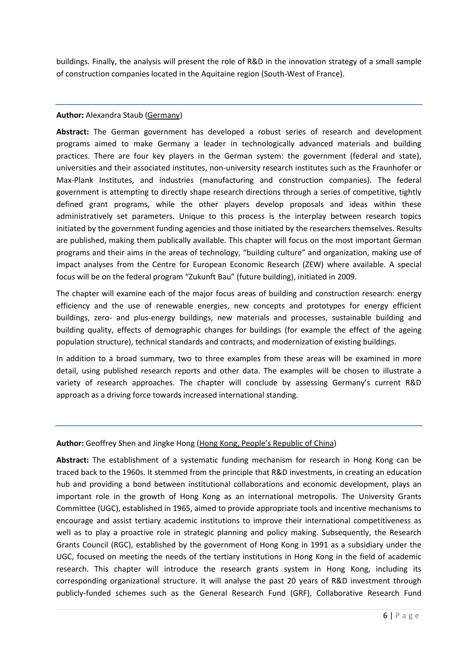buildings. Finally, the analysis will present the role of R&D in the innovation strategy of a small sample of construction companies located in the Aquitaine region (South-West of France).

### **Author:** Alexandra Staub (Germany)

**Abstract:** The German government has developed a robust series of research and development programs aimed to make Germany a leader in technologically advanced materials and building practices. There are four key players in the German system: the government (federal and state), universities and their associated institutes, non-university research institutes such as the Fraunhofer or Max-Plank Institutes, and industries (manufacturing and construction companies). The federal government is attempting to directly shape research directions through a series of competitive, tightly defined grant programs, while the other players develop proposals and ideas within these administratively set parameters. Unique to this process is the interplay between research topics initiated by the government funding agencies and those initiated by the researchers themselves. Results are published, making them publically available. This chapter will focus on the most important German programs and their aims in the areas of technology, "building culture" and organization, making use of impact analyses from the Centre for European Economic Research (ZEW) where available. A special focus will be on the federal program "Zukunft Bau" (future building), initiated in 2009.

The chapter will examine each of the major focus areas of building and construction research: energy efficiency and the use of renewable energies, new concepts and prototypes for energy efficient buildings, zero- and plus-energy buildings, new materials and processes, sustainable building and building quality, effects of demographic changes for buildings (for example the effect of the ageing population structure), technical standards and contracts, and modernization of existing buildings.

In addition to a broad summary, two to three examples from these areas will be examined in more detail, using published research reports and other data. The examples will be chosen to illustrate a variety of research approaches. The chapter will conclude by assessing Germany's current R&D approach as a driving force towards increased international standing.

# **Author:** Geoffrey Shen and Jingke Hong (Hong Kong, People's Republic of China)

**Abstract:** The establishment of a systematic funding mechanism for research in Hong Kong can be traced back to the 1960s. It stemmed from the principle that R&D investments, in creating an education hub and providing a bond between institutional collaborations and economic development, plays an important role in the growth of Hong Kong as an international metropolis. The University Grants Committee (UGC), established in 1965, aimed to provide appropriate tools and incentive mechanisms to encourage and assist tertiary academic institutions to improve their international competitiveness as well as to play a proactive role in strategic planning and policy making. Subsequently, the Research Grants Council (RGC), established by the government of Hong Kong in 1991 as a subsidiary under the UGC, focused on meeting the needs of the tertiary institutions in Hong Kong in the field of academic research. This chapter will introduce the research grants system in Hong Kong, including its corresponding organizational structure. It will analyse the past 20 years of R&D investment through publicly-funded schemes such as the General Research Fund (GRF), Collaborative Research Fund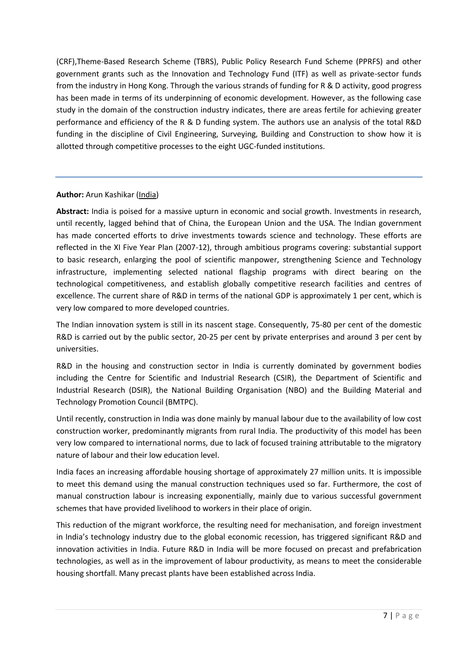(CRF),Theme-Based Research Scheme (TBRS), Public Policy Research Fund Scheme (PPRFS) and other government grants such as the Innovation and Technology Fund (ITF) as well as private-sector funds from the industry in Hong Kong. Through the various strands of funding for R & D activity, good progress has been made in terms of its underpinning of economic development. However, as the following case study in the domain of the construction industry indicates, there are areas fertile for achieving greater performance and efficiency of the R & D funding system. The authors use an analysis of the total R&D funding in the discipline of Civil Engineering, Surveying, Building and Construction to show how it is allotted through competitive processes to the eight UGC-funded institutions.

# **Author:** Arun Kashikar (India)

**Abstract:** India is poised for a massive upturn in economic and social growth. Investments in research, until recently, lagged behind that of China, the European Union and the USA. The Indian government has made concerted efforts to drive investments towards science and technology. These efforts are reflected in the XI Five Year Plan (2007-12), through ambitious programs covering: substantial support to basic research, enlarging the pool of scientific manpower, strengthening Science and Technology infrastructure, implementing selected national flagship programs with direct bearing on the technological competitiveness, and establish globally competitive research facilities and centres of excellence. The current share of R&D in terms of the national GDP is approximately 1 per cent, which is very low compared to more developed countries.

The Indian innovation system is still in its nascent stage. Consequently, 75-80 per cent of the domestic R&D is carried out by the public sector, 20-25 per cent by private enterprises and around 3 per cent by universities.

R&D in the housing and construction sector in India is currently dominated by government bodies including the Centre for Scientific and Industrial Research (CSIR), the Department of Scientific and Industrial Research (DSIR), the National Building Organisation (NBO) and the Building Material and Technology Promotion Council (BMTPC).

Until recently, construction in India was done mainly by manual labour due to the availability of low cost construction worker, predominantly migrants from rural India. The productivity of this model has been very low compared to international norms, due to lack of focused training attributable to the migratory nature of labour and their low education level.

India faces an increasing affordable housing shortage of approximately 27 million units. It is impossible to meet this demand using the manual construction techniques used so far. Furthermore, the cost of manual construction labour is increasing exponentially, mainly due to various successful government schemes that have provided livelihood to workers in their place of origin.

This reduction of the migrant workforce, the resulting need for mechanisation, and foreign investment in India's technology industry due to the global economic recession, has triggered significant R&D and innovation activities in India. Future R&D in India will be more focused on precast and prefabrication technologies, as well as in the improvement of labour productivity, as means to meet the considerable housing shortfall. Many precast plants have been established across India.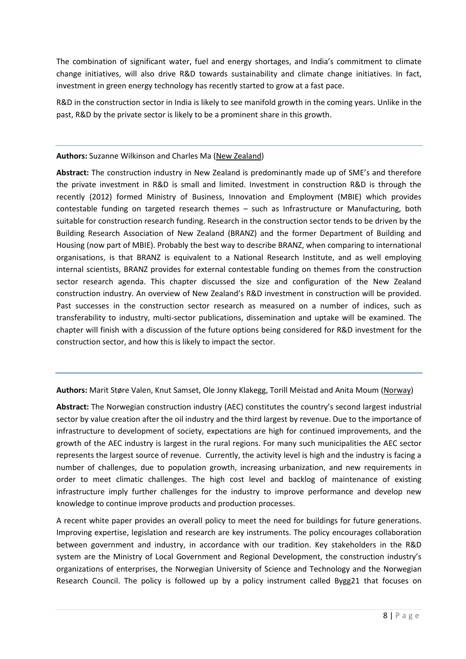The combination of significant water, fuel and energy shortages, and India's commitment to climate change initiatives, will also drive R&D towards sustainability and climate change initiatives. In fact, investment in green energy technology has recently started to grow at a fast pace.

R&D in the construction sector in India is likely to see manifold growth in the coming years. Unlike in the past, R&D by the private sector is likely to be a prominent share in this growth.

## **Authors:** Suzanne Wilkinson and Charles Ma (New Zealand)

**Abstract:** The construction industry in New Zealand is predominantly made up of SME's and therefore the private investment in R&D is small and limited. Investment in construction R&D is through the recently (2012) formed Ministry of Business, Innovation and Employment (MBIE) which provides contestable funding on targeted research themes – such as Infrastructure or Manufacturing, both suitable for construction research funding. Research in the construction sector tends to be driven by the Building Research Association of New Zealand (BRANZ) and the former Department of Building and Housing (now part of MBIE). Probably the best way to describe BRANZ, when comparing to international organisations, is that BRANZ is equivalent to a National Research Institute, and as well employing internal scientists, BRANZ provides for external contestable funding on themes from the construction sector research agenda. This chapter discussed the size and configuration of the New Zealand construction industry. An overview of New Zealand's R&D investment in construction will be provided. Past successes in the construction sector research as measured on a number of indices, such as transferability to industry, multi-sector publications, dissemination and uptake will be examined. The chapter will finish with a discussion of the future options being considered for R&D investment for the construction sector, and how this is likely to impact the sector.

**Authors:** Marit Støre Valen, Knut Samset, Ole Jonny Klakegg, Torill Meistad and Anita Moum (Norway)

**Abstract:** The Norwegian construction industry (AEC) constitutes the country's second largest industrial sector by value creation after the oil industry and the third largest by revenue. Due to the importance of infrastructure to development of society, expectations are high for continued improvements, and the growth of the AEC industry is largest in the rural regions. For many such municipalities the AEC sector represents the largest source of revenue. Currently, the activity level is high and the industry is facing a number of challenges, due to population growth, increasing urbanization, and new requirements in order to meet climatic challenges. The high cost level and backlog of maintenance of existing infrastructure imply further challenges for the industry to improve performance and develop new knowledge to continue improve products and production processes.

A recent white paper provides an overall policy to meet the need for buildings for future generations. Improving expertise, legislation and research are key instruments. The policy encourages collaboration between government and industry, in accordance with our tradition. Key stakeholders in the R&D system are the Ministry of Local Government and Regional Development, the construction industry's organizations of enterprises, the Norwegian University of Science and Technology and the Norwegian Research Council. The policy is followed up by a policy instrument called Bygg21 that focuses on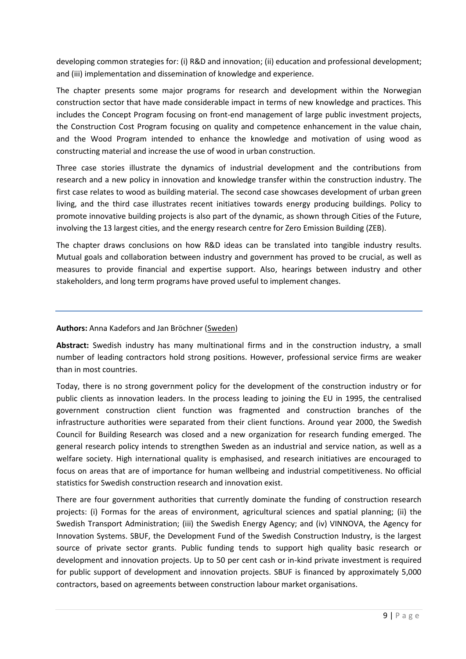developing common strategies for: (i) R&D and innovation; (ii) education and professional development; and (iii) implementation and dissemination of knowledge and experience.

The chapter presents some major programs for research and development within the Norwegian construction sector that have made considerable impact in terms of new knowledge and practices. This includes the Concept Program focusing on front-end management of large public investment projects, the Construction Cost Program focusing on quality and competence enhancement in the value chain, and the Wood Program intended to enhance the knowledge and motivation of using wood as constructing material and increase the use of wood in urban construction.

Three case stories illustrate the dynamics of industrial development and the contributions from research and a new policy in innovation and knowledge transfer within the construction industry. The first case relates to wood as building material. The second case showcases development of urban green living, and the third case illustrates recent initiatives towards energy producing buildings. Policy to promote innovative building projects is also part of the dynamic, as shown through Cities of the Future, involving the 13 largest cities, and the energy research centre for Zero Emission Building (ZEB).

The chapter draws conclusions on how R&D ideas can be translated into tangible industry results. Mutual goals and collaboration between industry and government has proved to be crucial, as well as measures to provide financial and expertise support. Also, hearings between industry and other stakeholders, and long term programs have proved useful to implement changes.

### **Authors:** Anna Kadefors and Jan Bröchner (Sweden)

**Abstract:** Swedish industry has many multinational firms and in the construction industry, a small number of leading contractors hold strong positions. However, professional service firms are weaker than in most countries.

Today, there is no strong government policy for the development of the construction industry or for public clients as innovation leaders. In the process leading to joining the EU in 1995, the centralised government construction client function was fragmented and construction branches of the infrastructure authorities were separated from their client functions. Around year 2000, the Swedish Council for Building Research was closed and a new organization for research funding emerged. The general research policy intends to strengthen Sweden as an industrial and service nation, as well as a welfare society. High international quality is emphasised, and research initiatives are encouraged to focus on areas that are of importance for human wellbeing and industrial competitiveness. No official statistics for Swedish construction research and innovation exist.

There are four government authorities that currently dominate the funding of construction research projects: (i) Formas for the areas of environment, agricultural sciences and spatial planning; (ii) the Swedish Transport Administration; (iii) the Swedish Energy Agency; and (iv) VINNOVA, the Agency for Innovation Systems. SBUF, the Development Fund of the Swedish Construction Industry, is the largest source of private sector grants. Public funding tends to support high quality basic research or development and innovation projects. Up to 50 per cent cash or in-kind private investment is required for public support of development and innovation projects. SBUF is financed by approximately 5,000 contractors, based on agreements between construction labour market organisations.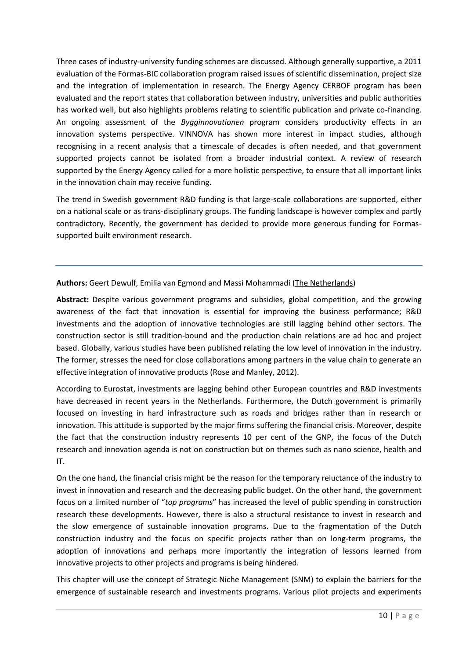Three cases of industry-university funding schemes are discussed. Although generally supportive, a 2011 evaluation of the Formas-BIC collaboration program raised issues of scientific dissemination, project size and the integration of implementation in research. The Energy Agency CERBOF program has been evaluated and the report states that collaboration between industry, universities and public authorities has worked well, but also highlights problems relating to scientific publication and private co-financing. An ongoing assessment of the *Bygginnovationen* program considers productivity effects in an innovation systems perspective. VINNOVA has shown more interest in impact studies, although recognising in a recent analysis that a timescale of decades is often needed, and that government supported projects cannot be isolated from a broader industrial context. A review of research supported by the Energy Agency called for a more holistic perspective, to ensure that all important links in the innovation chain may receive funding.

The trend in Swedish government R&D funding is that large-scale collaborations are supported, either on a national scale or as trans-disciplinary groups. The funding landscape is however complex and partly contradictory. Recently, the government has decided to provide more generous funding for Formassupported built environment research.

**Authors:** Geert Dewulf, Emilia van Egmond and Massi Mohammadi (The Netherlands)

**Abstract:** Despite various government programs and subsidies, global competition, and the growing awareness of the fact that innovation is essential for improving the business performance; R&D investments and the adoption of innovative technologies are still lagging behind other sectors. The construction sector is still tradition-bound and the production chain relations are ad hoc and project based. Globally, various studies have been published relating the low level of innovation in the industry. The former, stresses the need for close collaborations among partners in the value chain to generate an effective integration of innovative products (Rose and Manley, 2012).

According to Eurostat, investments are lagging behind other European countries and R&D investments have decreased in recent years in the Netherlands. Furthermore, the Dutch government is primarily focused on investing in hard infrastructure such as roads and bridges rather than in research or innovation. This attitude is supported by the major firms suffering the financial crisis. Moreover, despite the fact that the construction industry represents 10 per cent of the GNP, the focus of the Dutch research and innovation agenda is not on construction but on themes such as nano science, health and IT.

On the one hand, the financial crisis might be the reason for the temporary reluctance of the industry to invest in innovation and research and the decreasing public budget. On the other hand, the government focus on a limited number of "*top programs*" has increased the level of public spending in construction research these developments. However, there is also a structural resistance to invest in research and the slow emergence of sustainable innovation programs. Due to the fragmentation of the Dutch construction industry and the focus on specific projects rather than on long-term programs, the adoption of innovations and perhaps more importantly the integration of lessons learned from innovative projects to other projects and programs is being hindered.

This chapter will use the concept of Strategic Niche Management (SNM) to explain the barriers for the emergence of sustainable research and investments programs. Various pilot projects and experiments